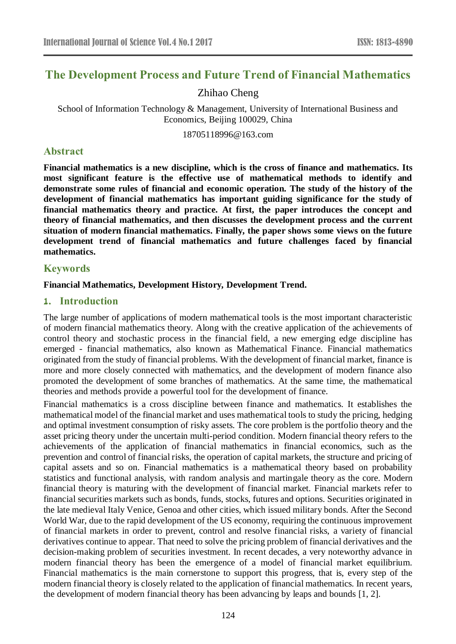# **The Development Process and Future Trend of Financial Mathematics**

# Zhihao Cheng

School of Information Technology & Management, University of International Business and Economics, Beijing 100029, China

18705118996@163.com

### **Abstract**

**Financial mathematics is a new discipline, which is the cross of finance and mathematics. Its most significant feature is the effective use of mathematical methods to identify and demonstrate some rules of financial and economic operation. The study of the history of the development of financial mathematics has important guiding significance for the study of financial mathematics theory and practice. At first, the paper introduces the concept and theory of financial mathematics, and then discusses the development process and the current situation of modern financial mathematics. Finally, the paper shows some views on the future development trend of financial mathematics and future challenges faced by financial mathematics.**

#### **Keywords**

#### **Financial Mathematics, Development History, Development Trend.**

#### **1. Introduction**

The large number of applications of modern mathematical tools is the most important characteristic of modern financial mathematics theory. Along with the creative application of the achievements of control theory and stochastic process in the financial field, a new emerging edge discipline has emerged - financial mathematics, also known as Mathematical Finance. Financial mathematics originated from the study of financial problems. With the development of financial market, finance is more and more closely connected with mathematics, and the development of modern finance also promoted the development of some branches of mathematics. At the same time, the mathematical theories and methods provide a powerful tool for the development of finance.

Financial mathematics is a cross discipline between finance and mathematics. It establishes the mathematical model of the financial market and uses mathematical tools to study the pricing, hedging and optimal investment consumption of risky assets. The core problem is the portfolio theory and the asset pricing theory under the uncertain multi-period condition. Modern financial theory refers to the achievements of the application of financial mathematics in financial economics, such as the prevention and control of financial risks, the operation of capital markets, the structure and pricing of capital assets and so on. Financial mathematics is a mathematical theory based on probability statistics and functional analysis, with random analysis and martingale theory as the core. Modern financial theory is maturing with the development of financial market. Financial markets refer to financial securities markets such as bonds, funds, stocks, futures and options. Securities originated in the late medieval Italy Venice, Genoa and other cities, which issued military bonds. After the Second World War, due to the rapid development of the US economy, requiring the continuous improvement of financial markets in order to prevent, control and resolve financial risks, a variety of financial derivatives continue to appear. That need to solve the pricing problem of financial derivatives and the decision-making problem of securities investment. In recent decades, a very noteworthy advance in modern financial theory has been the emergence of a model of financial market equilibrium. Financial mathematics is the main cornerstone to support this progress, that is, every step of the modern financial theory is closely related to the application of financial mathematics. In recent years, the development of modern financial theory has been advancing by leaps and bounds [1, 2].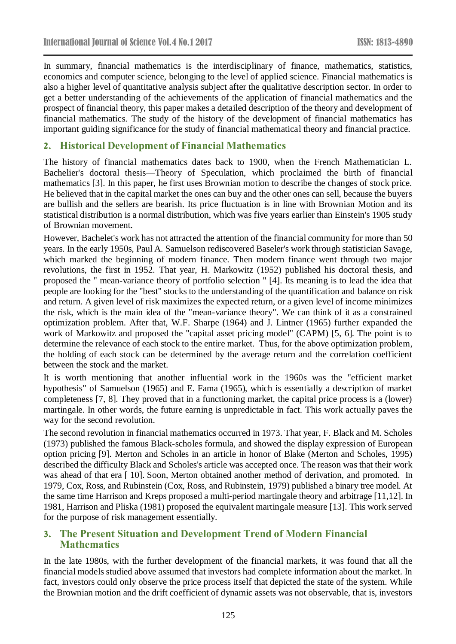In summary, financial mathematics is the interdisciplinary of finance, mathematics, statistics, economics and computer science, belonging to the level of applied science. Financial mathematics is also a higher level of quantitative analysis subject after the qualitative description sector. In order to get a better understanding of the achievements of the application of financial mathematics and the prospect of financial theory, this paper makes a detailed description of the theory and development of financial mathematics. The study of the history of the development of financial mathematics has important guiding significance for the study of financial mathematical theory and financial practice.

# **2. Historical Development of Financial Mathematics**

The history of financial mathematics dates back to 1900, when the French Mathematician L. Bachelier's doctoral thesis—Theory of Speculation, which proclaimed the birth of financial mathematics [3]. In this paper, he first uses Brownian motion to describe the changes of stock price. He believed that in the capital market the ones can buy and the other ones can sell, because the buyers are bullish and the sellers are bearish. Its price fluctuation is in line with Brownian Motion and its statistical distribution is a normal distribution, which was five years earlier than Einstein's 1905 study of Brownian movement.

However, Bachelet's work has not attracted the attention of the financial community for more than 50 years. In the early 1950s, Paul A. Samuelson rediscovered Baseler's work through statistician Savage, which marked the beginning of modern finance. Then modern finance went through two major revolutions, the first in 1952. That year, H. Markowitz (1952) published his doctoral thesis, and proposed the " mean-variance theory of portfolio selection " [4]. Its meaning is to lead the idea that people are looking for the "best" stocks to the understanding of the quantification and balance on risk and return. A given level of risk maximizes the expected return, or a given level of income minimizes the risk, which is the main idea of the "mean-variance theory". We can think of it as a constrained optimization problem. After that, W.F. Sharpe (1964) and J. Lintner (1965) further expanded the work of Markowitz and proposed the "capital asset pricing model" (CAPM) [5, 6]. The point is to determine the relevance of each stock to the entire market. Thus, for the above optimization problem, the holding of each stock can be determined by the average return and the correlation coefficient between the stock and the market.

It is worth mentioning that another influential work in the 1960s was the "efficient market hypothesis" of Samuelson (1965) and E. Fama (1965), which is essentially a description of market completeness [7, 8]. They proved that in a functioning market, the capital price process is a (lower) martingale. In other words, the future earning is unpredictable in fact. This work actually paves the way for the second revolution.

The second revolution in financial mathematics occurred in 1973. That year, F. Black and M. Scholes (1973) published the famous Black-scholes formula, and showed the display expression of European option pricing [9]. Merton and Scholes in an article in honor of Blake (Merton and Scholes, 1995) described the difficulty Black and Scholes's article was accepted once. The reason was that their work was ahead of that era [10]. Soon, Merton obtained another method of derivation, and promoted. In 1979, Cox, Ross, and Rubinstein (Cox, Ross, and Rubinstein, 1979) published a binary tree model. At the same time Harrison and Kreps proposed a multi-period martingale theory and arbitrage [11,12]. In 1981, Harrison and Pliska (1981) proposed the equivalent martingale measure [13]. This work served for the purpose of risk management essentially.

# **3. The Present Situation and Development Trend of Modern Financial Mathematics**

In the late 1980s, with the further development of the financial markets, it was found that all the financial models studied above assumed that investors had complete information about the market. In fact, investors could only observe the price process itself that depicted the state of the system. While the Brownian motion and the drift coefficient of dynamic assets was not observable, that is, investors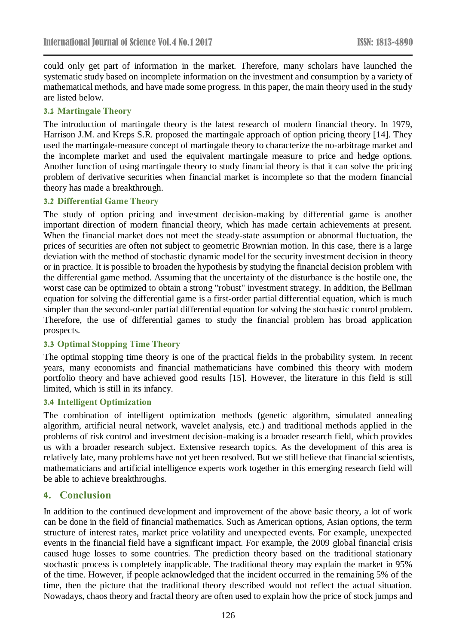could only get part of information in the market. Therefore, many scholars have launched the systematic study based on incomplete information on the investment and consumption by a variety of mathematical methods, and have made some progress. In this paper, the main theory used in the study are listed below.

# **3.1 Martingale Theory**

The introduction of martingale theory is the latest research of modern financial theory. In 1979, Harrison J.M. and Kreps S.R. proposed the martingale approach of option pricing theory [14]. They used the martingale-measure concept of martingale theory to characterize the no-arbitrage market and the incomplete market and used the equivalent martingale measure to price and hedge options. Another function of using martingale theory to study financial theory is that it can solve the pricing problem of derivative securities when financial market is incomplete so that the modern financial theory has made a breakthrough.

# **3.2 Differential Game Theory**

The study of option pricing and investment decision-making by differential game is another important direction of modern financial theory, which has made certain achievements at present. When the financial market does not meet the steady-state assumption or abnormal fluctuation, the prices of securities are often not subject to geometric Brownian motion. In this case, there is a large deviation with the method of stochastic dynamic model for the security investment decision in theory or in practice. It is possible to broaden the hypothesis by studying the financial decision problem with the differential game method. Assuming that the uncertainty of the disturbance is the hostile one, the worst case can be optimized to obtain a strong "robust" investment strategy. In addition, the Bellman equation for solving the differential game is a first-order partial differential equation, which is much simpler than the second-order partial differential equation for solving the stochastic control problem. Therefore, the use of differential games to study the financial problem has broad application prospects.

# **3.3 Optimal Stopping Time Theory**

The optimal stopping time theory is one of the practical fields in the probability system. In recent years, many economists and financial mathematicians have combined this theory with modern portfolio theory and have achieved good results [15]. However, the literature in this field is still limited, which is still in its infancy.

# **3.4 Intelligent Optimization**

The combination of intelligent optimization methods (genetic algorithm, simulated annealing algorithm, artificial neural network, wavelet analysis, etc.) and traditional methods applied in the problems of risk control and investment decision-making is a broader research field, which provides us with a broader research subject. Extensive research topics. As the development of this area is relatively late, many problems have not yet been resolved. But we still believe that financial scientists, mathematicians and artificial intelligence experts work together in this emerging research field will be able to achieve breakthroughs.

# **4. Conclusion**

In addition to the continued development and improvement of the above basic theory, a lot of work can be done in the field of financial mathematics. Such as American options, Asian options, the term structure of interest rates, market price volatility and unexpected events. For example, unexpected events in the financial field have a significant impact. For example, the 2009 global financial crisis caused huge losses to some countries. The prediction theory based on the traditional stationary stochastic process is completely inapplicable. The traditional theory may explain the market in 95% of the time. However, if people acknowledged that the incident occurred in the remaining 5% of the time, then the picture that the traditional theory described would not reflect the actual situation. Nowadays, chaos theory and fractal theory are often used to explain how the price of stock jumps and